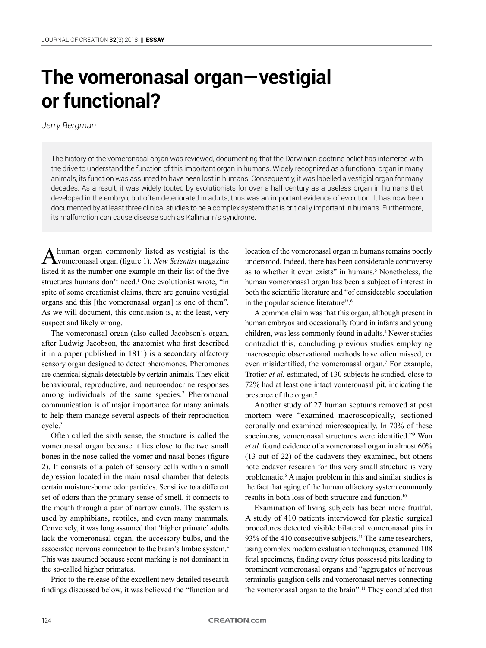# **The vomeronasal organ—vestigial or functional?**

## *Jerry Bergman*

The history of the vomeronasal organ was reviewed, documenting that the Darwinian doctrine belief has interfered with the drive to understand the function of this important organ in humans. Widely recognized as a functional organ in many animals, its function was assumed to have been lost in humans. Consequently, it was labelled a vestigial organ for many decades. As a result, it was widely touted by evolutionists for over a half century as a useless organ in humans that developed in the embryo, but often deteriorated in adults, thus was an important evidence of evolution. It has now been documented by at least three clinical studies to be a complex system that is critically important in humans. Furthermore, its malfunction can cause disease such as Kallmann's syndrome.

A human organ commonly listed as vestigial is the  vomeronasal organ (figure 1). *New Scientist* magazine listed it as the number one example on their list of the five structures humans don't need.<sup>1</sup> One evolutionist wrote, "in spite of some creationist claims, there are genuine vestigial organs and this [the vomeronasal organ] is one of them". As we will document, this conclusion is, at the least, very suspect and likely wrong.

The vomeronasal organ (also called Jacobson's organ, after Ludwig Jacobson, the anatomist who first described it in a paper published in 1811) is a secondary olfactory sensory organ designed to detect pheromones. Pheromones are chemical signals detectable by certain animals. They elicit behavioural, reproductive, and neuroendocrine responses among individuals of the same species.<sup>2</sup> Pheromonal communication is of major importance for many animals to help them manage several aspects of their reproduction cycle.<sup>3</sup>

Often called the sixth sense, the structure is called the vomeronasal organ because it lies close to the two small bones in the nose called the vomer and nasal bones (figure 2). It consists of a patch of sensory cells within a small depression located in the main nasal chamber that detects certain moisture-borne odor particles. Sensitive to a different set of odors than the primary sense of smell, it connects to the mouth through a pair of narrow canals. The system is used by amphibians, reptiles, and even many mammals. Conversely, it was long assumed that 'higher primate' adults lack the vomeronasal organ, the accessory bulbs, and the associated nervous connection to the brain's limbic system.<sup>4</sup> This was assumed because scent marking is not dominant in the so-called higher primates.

Prior to the release of the excellent new detailed research findings discussed below, it was believed the "function and

location of the vomeronasal organ in humans remains poorly understood. Indeed, there has been considerable controversy as to whether it even exists" in humans.<sup>5</sup> Nonetheless, the human vomeronasal organ has been a subject of interest in both the scientific literature and "of considerable speculation in the popular science literature".<sup>6</sup>

A common claim was that this organ, although present in human embryos and occasionally found in infants and young children, was less commonly found in adults.<sup>4</sup> Newer studies contradict this, concluding previous studies employing macroscopic observational methods have often missed, or even misidentified, the vomeronasal organ.<sup>7</sup> For example, Trotier *et al.* estimated, of 130 subjects he studied, close to 72% had at least one intact vomeronasal pit, indicating the presence of the organ.8

Another study of 27 human septums removed at post mortem were "examined macroscopically, sectioned coronally and examined microscopically. In 70% of these specimens, vomeronasal structures were identified."<sup>9</sup> Won *et al.* found evidence of a vomeronasal organ in almost 60% (13 out of 22) of the cadavers they examined, but others note cadaver research for this very small structure is very problematic.<sup>5</sup> A major problem in this and similar studies is the fact that aging of the human olfactory system commonly results in both loss of both structure and function.10

Examination of living subjects has been more fruitful. A study of 410 patients interviewed for plastic surgical procedures detected visible bilateral vomeronasal pits in 93% of the 410 consecutive subjects.<sup>11</sup> The same researchers, using complex modern evaluation techniques, examined 108 fetal specimens, finding every fetus possessed pits leading to prominent vomeronasal organs and "aggregates of nervous terminalis ganglion cells and vomeronasal nerves connecting the vomeronasal organ to the brain".11 They concluded that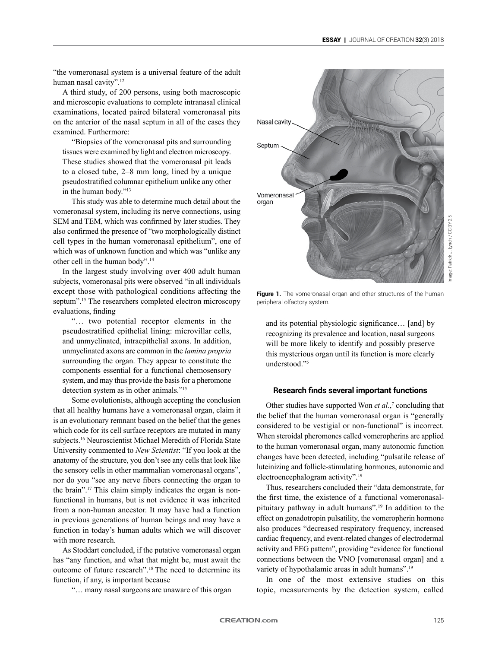"the vomeronasal system is a universal feature of the adult human nasal cavity".12

A third study, of 200 persons, using both macroscopic and microscopic evaluations to complete intranasal clinical examinations, located paired bilateral vomeronasal pits on the anterior of the nasal septum in all of the cases they examined. Furthermore:

"Biopsies of the vomeronasal pits and surrounding tissues were examined by light and electron microscopy. These studies showed that the vomeronasal pit leads to a closed tube, 2–8 mm long, lined by a unique pseudostratified columnar epithelium unlike any other in the human body."13

This study was able to determine much detail about the vomeronasal system, including its nerve connections, using SEM and TEM, which was confirmed by later studies. They also confirmed the presence of "two morphologically distinct cell types in the human vomeronasal epithelium", one of which was of unknown function and which was "unlike any other cell in the human body".14

In the largest study involving over 400 adult human subjects, vomeronasal pits were observed "in all individuals except those with pathological conditions affecting the septum".<sup>15</sup> The researchers completed electron microscopy evaluations, finding

"… two potential receptor elements in the pseudostratified epithelial lining: microvillar cells, and unmyelinated, intraepithelial axons. In addition, unmyelinated axons are common in the *lamina propria* surrounding the organ. They appear to constitute the components essential for a functional chemosensory system, and may thus provide the basis for a pheromone detection system as in other animals."15

Some evolutionists, although accepting the conclusion that all healthy humans have a vomeronasal organ, claim it is an evolutionary remnant based on the belief that the genes which code for its cell surface receptors are mutated in many subjects.16 Neuroscientist Michael Meredith of Florida State University commented to *New Scientist*: "If you look at the anatomy of the structure, you don't see any cells that look like the sensory cells in other mammalian vomeronasal organs", nor do you "see any nerve fibers connecting the organ to the brain".17 This claim simply indicates the organ is nonfunctional in humans, but is not evidence it was inherited from a non-human ancestor. It may have had a function in previous generations of human beings and may have a function in today's human adults which we will discover with more research.

As Stoddart concluded, if the putative vomeronasal organ has "any function, and what that might be, must await the outcome of future research".18 The need to determine its function, if any, is important because

"… many nasal surgeons are unaware of this organ



Figure 1. The vomeronasal organ and other structures of the human peripheral olfactory system.

and its potential physiologic significance… [and] by recognizing its prevalence and location, nasal surgeons will be more likely to identify and possibly preserve this mysterious organ until its function is more clearly understood."<sup>5</sup>

## **Research finds several important functions**

Other studies have supported Won *et al.*,<sup>7</sup> concluding that the belief that the human vomeronasal organ is "generally considered to be vestigial or non-functional" is incorrect. When steroidal pheromones called vomeropherins are applied to the human vomeronasal organ, many autonomic function changes have been detected, including "pulsatile release of luteinizing and follicle-stimulating hormones, autonomic and electroencephalogram activity".19

Thus, researchers concluded their "data demonstrate, for the first time, the existence of a functional vomeronasalpituitary pathway in adult humans".19 In addition to the effect on gonadotropin pulsatility, the vomeropherin hormone also produces "decreased respiratory frequency, increased cardiac frequency, and event-related changes of electrodermal activity and EEG pattern", providing "evidence for functional connections between the VNO [vomeronasal organ] and a variety of hypothalamic areas in adult humans".<sup>19</sup>

In one of the most extensive studies on this topic, measurements by the detection system, called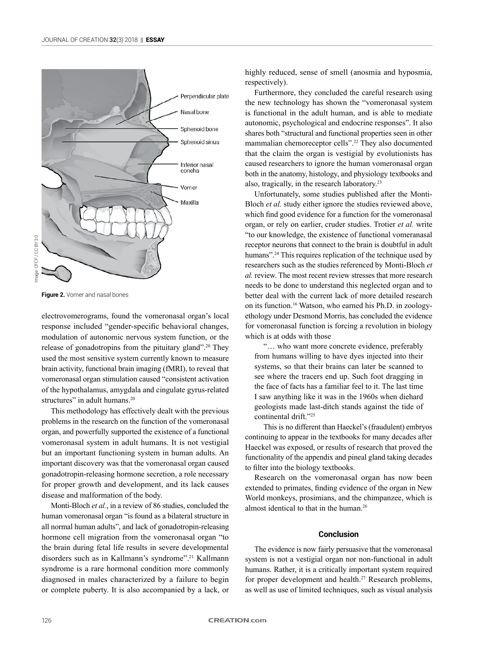

**Figure 2.** Vomer and nasal bones

electrovomerograms, found the vomeronasal organ's local response included "gender-specific behavioral changes, modulation of autonomic nervous system function, or the release of gonadotropins from the pituitary gland".<sup>20</sup> They used the most sensitive system currently known to measure brain activity, functional brain imaging (fMRI), to reveal that vomeronasal organ stimulation caused "consistent activation of the hypothalamus, amygdala and cingulate gyrus-related structures" in adult humans.<sup>20</sup>

This methodology has effectively dealt with the previous problems in the research on the function of the vomeronasal organ, and powerfully supported the existence of a functional vomeronasal system in adult humans. It is not vestigial but an important functioning system in human adults. An important discovery was that the vomeronasal organ caused gonadotropin-releasing hormone secretion, a role necessary for proper growth and development, and its lack causes disease and malformation of the body.

Monti-Bloch *et al.*, in a review of 86 studies, concluded the human vomeronasal organ "is found as a bilateral structure in all normal human adults", and lack of gonadotropin-releasing hormone cell migration from the vomeronasal organ "to the brain during fetal life results in severe developmental disorders such as in Kallmann's syndrome".21 Kallmann syndrome is a rare hormonal condition more commonly diagnosed in males characterized by a failure to begin or complete puberty. It is also accompanied by a lack, or

highly reduced, sense of smell (anosmia and hyposmia, respectively).

Furthermore, they concluded the careful research using the new technology has shown the "vomeronasal system is functional in the adult human, and is able to mediate autonomic, psychological and endocrine responses". It also shares both "structural and functional properties seen in other mammalian chemoreceptor cells".22 They also documented that the claim the organ is vestigial by evolutionists has caused researchers to ignore the human vomeronasal organ both in the anatomy, histology, and physiology textbooks and also, tragically, in the research laboratory.<sup>23</sup>

Unfortunately, some studies published after the Monti-Bloch *et al.* study either ignore the studies reviewed above, which find good evidence for a function for the vomeronasal organ, or rely on earlier, cruder studies. Trotier *et al.* write "to our knowledge, the existence of functional vomeranasal receptor neurons that connect to the brain is doubtful in adult humans"<sup>24</sup> This requires replication of the technique used by researchers such as the studies referenced by Monti-Bloch *et al.* review. The most recent review stresses that more research needs to be done to understand this neglected organ and to better deal with the current lack of more detailed research on its function.16 Watson, who earned his Ph.D. in zoologyethology under Desmond Morris, has concluded the evidence for vomeronasal function is forcing a revolution in biology which is at odds with those

"… who want more concrete evidence, preferably from humans willing to have dyes injected into their systems, so that their brains can later be scanned to see where the tracers end up. Such foot dragging in the face of facts has a familiar feel to it. The last time I saw anything like it was in the 1960s when diehard geologists made last-ditch stands against the tide of continental drift."<sup>25</sup>

This is no different than Haeckel's (fraudulent) embryos continuing to appear in the textbooks for many decades after Haeckel was exposed, or results of research that proved the functionality of the appendix and pineal gland taking decades to filter into the biology textbooks.

Research on the vomeronasal organ has now been extended to primates, finding evidence of the organ in New World monkeys, prosimians, and the chimpanzee, which is almost identical to that in the human.<sup>26</sup>

#### **Conclusion**

The evidence is now fairly persuasive that the vomeronasal system is not a vestigial organ nor non-functional in adult humans. Rather, it is a critically important system required for proper development and health.<sup>27</sup> Research problems, as well as use of limited techniques, such as visual analysis